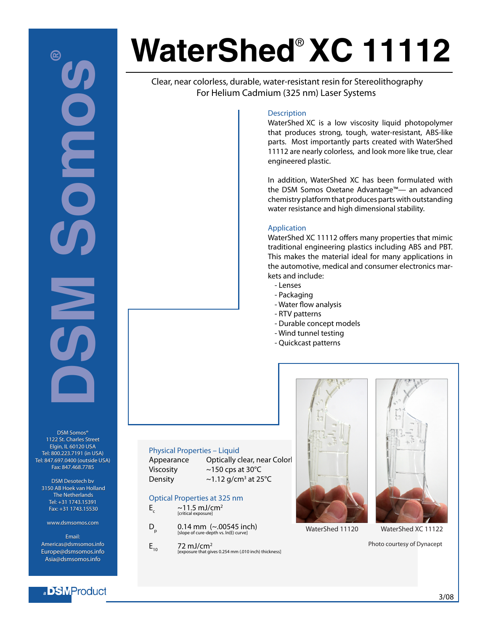# **DSM SOME** 囵 **OND**

DSM Somos® DSM Somos® 1122 St. Charles Street 1122 St. Charles Street Elgin, IL 60120 USA Elgin, IL 60120 USA Tel: 800.223.7191 (in USA) Tel: 800.223.7191 (in USA)Tel: 847.697.0400 (outside USA) Fax: 847.468.7785 Fax: 847.468.7785

Physical Properties – Liquid

Optical Properties at 325 nm<br>E ~11.5 mJ/cm<sup>2</sup>  $\sim$ 11.5 mJ/cm<sup>2</sup> [critical exposure]

 $E_{10}$  72 mJ/cm<sup>2</sup>

 $D_p$  0.14 mm (~.00545 inch)

[exposure that gives 0.254 mm (.010 inch) thickness]

Viscosity ~150 cps at 30°C Density  $\sim$  1.12 g/cm<sup>3</sup> at 25°C

DSM Desotech bv 3150 AB Hoek van Holland 3150 AB Hoek van Holland The Netherlands The Netherlands Tel: +31 1743.15391 Fax: +31 1743.15530 Tel: +31 1743.15391 Fax:

www.dsmsomos.com www.dsmsomos.comEmail:

Email: Americas@dsmsomos.info Americas@dsmsomos.infoEurope@dsmsomos.info Asia@dsmsomos.info Asia@dsmsomos.info

a BMProduct

# **WaterShed**® **XC 11112**

Clear, near colorless, durable, water-resistant resin for Stereolithography For Helium Cadmium (325 nm) Laser Systems

#### **Description**

WaterShed XC is a low viscosity liquid photopolymer that produces strong, tough, water-resistant, ABS-like parts. Most importantly parts created with WaterShed 11112 are nearly colorless, and look more like true, clear engineered plastic.

In addition, WaterShed XC has been formulated with the DSM Somos Oxetane Advantage™— an advanced chemistry platform that produces parts with outstanding water resistance and high dimensional stability.

#### Application

WaterShed XC 11112 offers many properties that mimic traditional engineering plastics including ABS and PBT. This makes the material ideal for many applications in the automotive, medical and consumer electronics markets and include:

- Lenses
- Packaging
- Water flow analysis
- RTV patterns
- Durable concept models
- Wind tunnel testing
- Quickcast patterns





WaterShed 11120 WaterShed XC 11122

Photo courtesy of Dynacept

3/08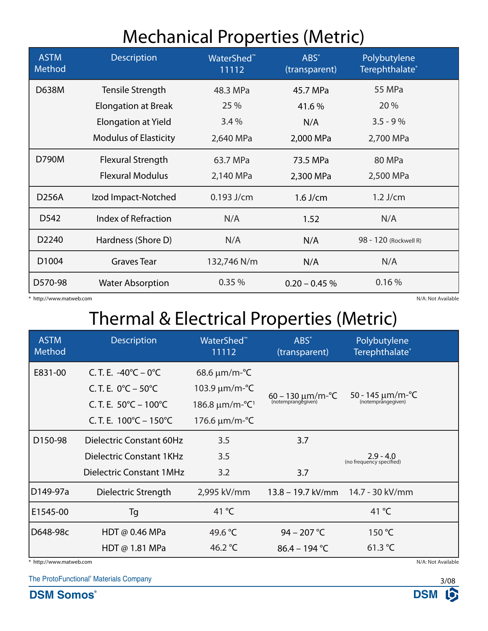#### Mechanical Properties (Metric)

| <b>ASTM</b><br>Method | <b>Description</b>           | WaterShed <sup>™</sup><br>11112 | ABS*<br>(transparent) | Polybutylene<br>Terephthalate* |  |
|-----------------------|------------------------------|---------------------------------|-----------------------|--------------------------------|--|
| D638M                 | Tensile Strength             | 48.3 MPa                        | 45.7 MPa              | <b>55 MPa</b>                  |  |
|                       | <b>Elongation at Break</b>   | 25 %                            | 41.6%                 | 20 %                           |  |
|                       | <b>Elongation at Yield</b>   | 3.4%                            | N/A                   | $3.5 - 9%$                     |  |
|                       | <b>Modulus of Elasticity</b> | 2,640 MPa                       | 2,000 MPa             | 2,700 MPa                      |  |
| D790M                 | <b>Flexural Strength</b>     | 63.7 MPa                        | 73.5 MPa              | 80 MPa                         |  |
|                       | <b>Flexural Modulus</b>      | 2,140 MPa                       | 2,300 MPa             | 2,500 MPa                      |  |
| <b>D256A</b>          | Izod Impact-Notched          | $0.193$ J/cm                    | $1.6$ J/cm            | $1.2$ J/cm                     |  |
| D <sub>542</sub>      | Index of Refraction          | N/A                             | 1.52                  | N/A                            |  |
| D2240                 | Hardness (Shore D)           | N/A                             | N/A                   | 98 - 120 (Rockwell R)          |  |
| D1004                 | <b>Graves Tear</b>           | 132,746 N/m                     | N/A                   | N/A                            |  |
| D570-98               | <b>Water Absorption</b>      | 0.35%                           | $0.20 - 0.45 \%$      | 0.16%                          |  |

\* http://www.matweb.com N/A: Not Available

## Thermal & Electrical Properties (Metric)

| <b>ASTM</b><br>Method                         | <b>Description</b>                         | WaterShed <sup>™</sup><br>11112                   | ABS*<br>(transparent)                     | Polybutylene<br>Terephthalate*          |  |  |
|-----------------------------------------------|--------------------------------------------|---------------------------------------------------|-------------------------------------------|-----------------------------------------|--|--|
| E831-00                                       | C.T.E. $-40^{\circ}C - 0^{\circ}C$         | $68.6 \,\mu m/m\text{-}^{\circ}\text{C}$          |                                           |                                         |  |  |
|                                               | C.T.E. $0^{\circ}C - 50^{\circ}C$          | 103.9 μm/m-°C                                     | $60 - 130 \mu m/m - C$ (notemprangegiven) | 50 - 145 $\mu$ m/m-°C                   |  |  |
|                                               | C. T. E. $50^{\circ}$ C – 100 $^{\circ}$ C | $186.8 \,\mu m/m\text{-}^{\circ}\text{C}^{\circ}$ |                                           | (notemprangegiven)                      |  |  |
|                                               | C.T.E. $100^{\circ}$ C – $150^{\circ}$ C   | 176.6 $\mu$ m/m-°C                                |                                           |                                         |  |  |
| D150-98                                       | Dielectric Constant 60Hz                   | 3.5                                               | 3.7                                       |                                         |  |  |
|                                               | Dielectric Constant 1KHz                   | 3.5                                               |                                           | $2.9 - 4.0$<br>(no frequency specified) |  |  |
|                                               | <b>Dielectric Constant 1MHz</b>            | 3.2                                               | 3.7                                       |                                         |  |  |
| D149-97a                                      | Dielectric Strength                        | 2,995 kV/mm                                       | 13.8 – 19.7 kV/mm                         | 14.7 - 30 kV/mm                         |  |  |
| E1545-00                                      | Tg                                         | 41 °C                                             |                                           | 41 $^{\circ}$ C                         |  |  |
| D648-98c                                      | HDT @ 0.46 MPa                             | 49.6 °C                                           | 94 – 207 °C                               | 150 °C                                  |  |  |
|                                               | HDT @ 1.81 MPa                             | 46.2 °C                                           | $86.4 - 194$ °C                           | 61.3 °C                                 |  |  |
| N/A: Not Available<br>* http://www.matweb.com |                                            |                                                   |                                           |                                         |  |  |

The ProtoFunctional® Materials Company